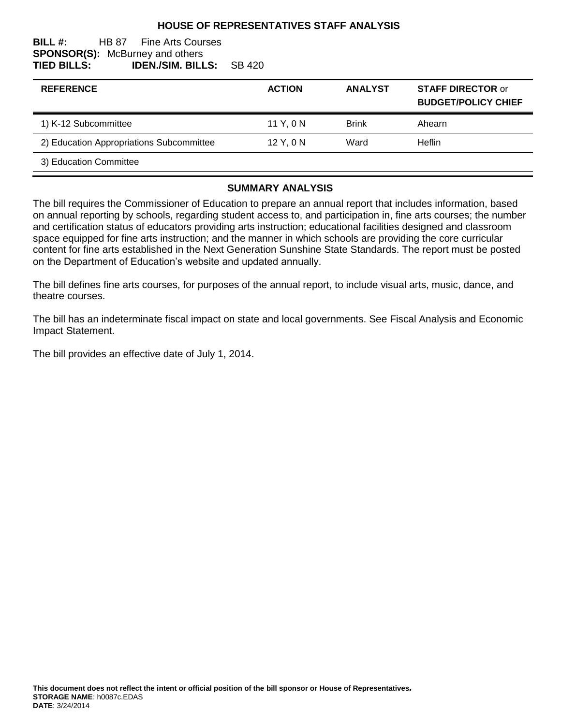#### **HOUSE OF REPRESENTATIVES STAFF ANALYSIS**

#### **BILL #:** HB 87 Fine Arts Courses **SPONSOR(S):** McBurney and others **TIED BILLS: IDEN./SIM. BILLS:** SB 420

| <b>REFERENCE</b>                         | <b>ACTION</b> | <b>ANALYST</b> | <b>STAFF DIRECTOR or</b><br><b>BUDGET/POLICY CHIEF</b> |
|------------------------------------------|---------------|----------------|--------------------------------------------------------|
| 1) K-12 Subcommittee                     | 11 Y, 0 N     | <b>Brink</b>   | Ahearn                                                 |
| 2) Education Appropriations Subcommittee | $12$ Y, 0 N   | Ward           | Heflin                                                 |
| 3) Education Committee                   |               |                |                                                        |

#### **SUMMARY ANALYSIS**

The bill requires the Commissioner of Education to prepare an annual report that includes information, based on annual reporting by schools, regarding student access to, and participation in, fine arts courses; the number and certification status of educators providing arts instruction; educational facilities designed and classroom space equipped for fine arts instruction; and the manner in which schools are providing the core curricular content for fine arts established in the Next Generation Sunshine State Standards. The report must be posted on the Department of Education's website and updated annually.

The bill defines fine arts courses, for purposes of the annual report, to include visual arts, music, dance, and theatre courses.

The bill has an indeterminate fiscal impact on state and local governments. See Fiscal Analysis and Economic Impact Statement.

The bill provides an effective date of July 1, 2014.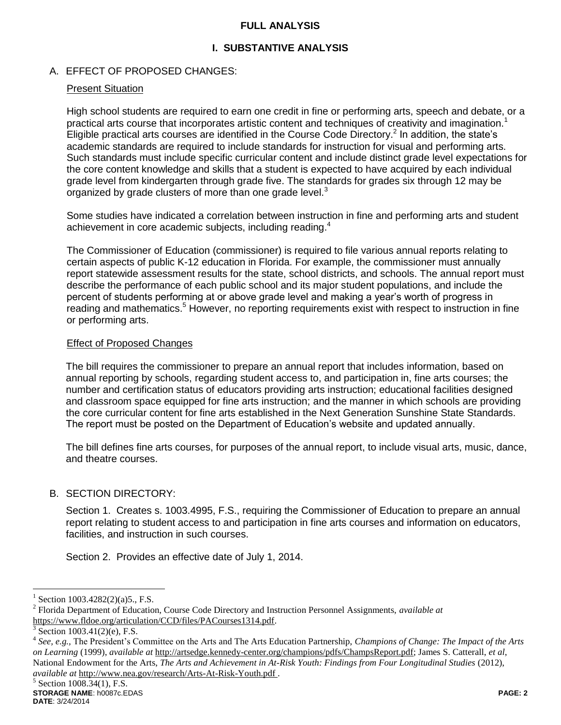### **FULL ANALYSIS**

# **I. SUBSTANTIVE ANALYSIS**

## A. EFFECT OF PROPOSED CHANGES:

### Present Situation

High school students are required to earn one credit in fine or performing arts, speech and debate, or a practical arts course that incorporates artistic content and techniques of creativity and imagination.<sup>1</sup> Eligible practical arts courses are identified in the Course Code Directory.<sup>2</sup> In addition, the state's academic standards are required to include standards for instruction for visual and performing arts. Such standards must include specific curricular content and include distinct grade level expectations for the core content knowledge and skills that a student is expected to have acquired by each individual grade level from kindergarten through grade five. The standards for grades six through 12 may be organized by grade clusters of more than one grade level.<sup>3</sup>

Some studies have indicated a correlation between instruction in fine and performing arts and student achievement in core academic subjects, including reading.<sup>4</sup>

The Commissioner of Education (commissioner) is required to file various annual reports relating to certain aspects of public K-12 education in Florida. For example, the commissioner must annually report statewide assessment results for the state, school districts, and schools. The annual report must describe the performance of each public school and its major student populations, and include the percent of students performing at or above grade level and making a year's worth of progress in reading and mathematics.<sup>5</sup> However, no reporting requirements exist with respect to instruction in fine or performing arts.

### Effect of Proposed Changes

The bill requires the commissioner to prepare an annual report that includes information, based on annual reporting by schools, regarding student access to, and participation in, fine arts courses; the number and certification status of educators providing arts instruction; educational facilities designed and classroom space equipped for fine arts instruction; and the manner in which schools are providing the core curricular content for fine arts established in the Next Generation Sunshine State Standards. The report must be posted on the Department of Education's website and updated annually.

The bill defines fine arts courses, for purposes of the annual report, to include visual arts, music, dance, and theatre courses.

# B. SECTION DIRECTORY:

Section 1. Creates s. 1003.4995, F.S., requiring the Commissioner of Education to prepare an annual report relating to student access to and participation in fine arts courses and information on educators, facilities, and instruction in such courses.

Section 2. Provides an effective date of July 1, 2014.

 $\overline{a}$ 

<sup>1</sup> Section 1003.4282(2)(a)5., F.S.

<sup>2</sup> Florida Department of Education, Course Code Directory and Instruction Personnel Assignments, *available at* https://www.fldoe.org/articulation/CCD/files/PACourses1314.pdf.

<sup>3</sup> Section 1003.41(2)(e), F.S.

<sup>4</sup> *See, e.g.,* The President's Committee on the Arts and The Arts Education Partnership, *Champions of Change: The Impact of the Arts on Learning* (1999), *available at* http://artsedge.kennedy-center.org/champions/pdfs/ChampsReport.pdf; James S. Catterall, *et al*, National Endowment for the Arts, *The Arts and Achievement in At-Risk Youth: Findings from Four Longitudinal Studies* (2012), *available at* http://www.nea.gov/research/Arts-At-Risk-Youth.pdf .